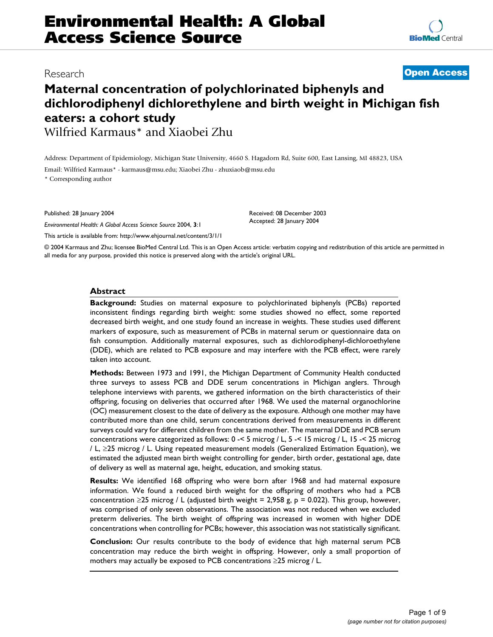## Research **[Open Access](http://www.biomedcentral.com/info/about/charter/)**

# **Maternal concentration of polychlorinated biphenyls and dichlorodiphenyl dichlorethylene and birth weight in Michigan fish eaters: a cohort study**

Wilfried Karmaus\* and Xiaobei Zhu

Address: Department of Epidemiology, Michigan State University, 4660 S. Hagadorn Rd, Suite 600, East Lansing, MI 48823, USA

Email: Wilfried Karmaus\* - karmaus@msu.edu; Xiaobei Zhu - zhuxiaob@msu.edu

\* Corresponding author

Published: 28 January 2004

*Environmental Health: A Global Access Science Source* 2004, **3**:1

[This article is available from: http://www.ehjournal.net/content/3/1/1](http://www.ehjournal.net/content/3/1/1)

Received: 08 December 2003 Accepted: 28 January 2004

© 2004 Karmaus and Zhu; licensee BioMed Central Ltd. This is an Open Access article: verbatim copying and redistribution of this article are permitted in all media for any purpose, provided this notice is preserved along with the article's original URL.

#### **Abstract**

**Background:** Studies on maternal exposure to polychlorinated biphenyls (PCBs) reported inconsistent findings regarding birth weight: some studies showed no effect, some reported decreased birth weight, and one study found an increase in weights. These studies used different markers of exposure, such as measurement of PCBs in maternal serum or questionnaire data on fish consumption. Additionally maternal exposures, such as dichlorodiphenyl-dichloroethylene (DDE), which are related to PCB exposure and may interfere with the PCB effect, were rarely taken into account.

**Methods:** Between 1973 and 1991, the Michigan Department of Community Health conducted three surveys to assess PCB and DDE serum concentrations in Michigan anglers. Through telephone interviews with parents, we gathered information on the birth characteristics of their offspring, focusing on deliveries that occurred after 1968. We used the maternal organochlorine (OC) measurement closest to the date of delivery as the exposure. Although one mother may have contributed more than one child, serum concentrations derived from measurements in different surveys could vary for different children from the same mother. The maternal DDE and PCB serum concentrations were categorized as follows: 0 -< 5 microg / L, 5 -< 15 microg / L, 15 -< 25 microg / L, ≥25 microg / L. Using repeated measurement models (Generalized Estimation Equation), we estimated the adjusted mean birth weight controlling for gender, birth order, gestational age, date of delivery as well as maternal age, height, education, and smoking status.

**Results:** We identified 168 offspring who were born after 1968 and had maternal exposure information. We found a reduced birth weight for the offspring of mothers who had a PCB concentration ≥25 microg / L (adjusted birth weight = 2,958 g,  $p = 0.022$ ). This group, however, was comprised of only seven observations. The association was not reduced when we excluded preterm deliveries. The birth weight of offspring was increased in women with higher DDE concentrations when controlling for PCBs; however, this association was not statistically significant.

**Conclusion:** Our results contribute to the body of evidence that high maternal serum PCB concentration may reduce the birth weight in offspring. However, only a small proportion of mothers may actually be exposed to PCB concentrations ≥25 microg / L.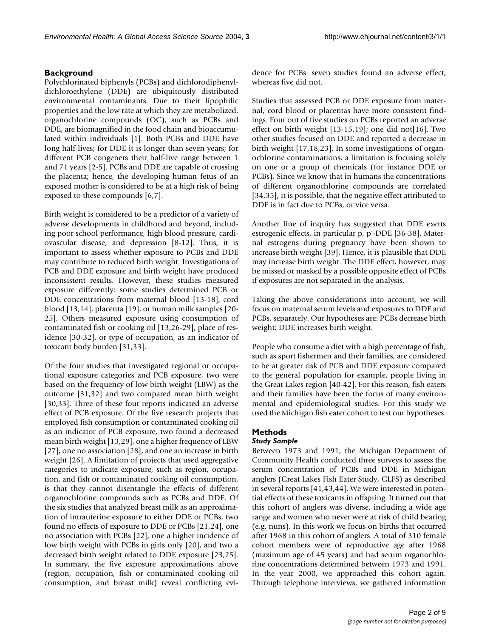## **Background**

Polychlorinated biphenyls (PCBs) and dichlorodiphenyldichloroethylene (DDE) are ubiquitously distributed environmental contaminants. Due to their lipophilic properties and the low rate at which they are metabolized, organochlorine compounds (OC), such as PCBs and DDE, are biomagnified in the food chain and bioaccumulated within individuals [1]. Both PCBs and DDE have long half-lives; for DDE it is longer than seven years; for different PCB congeners their half-live range between 1 and 71 years [2-5]. PCBs and DDE are capable of crossing the placenta; hence, the developing human fetus of an exposed mother is considered to be at a high risk of being exposed to these compounds [6,7].

Birth weight is considered to be a predictor of a variety of adverse developments in childhood and beyond, including poor school performance, high blood pressure, cardiovascular disease, and depression [8-12]. Thus, it is important to assess whether exposure to PCBs and DDE may contribute to reduced birth weight. Investigations of PCB and DDE exposure and birth weight have produced inconsistent results. However, these studies measured exposure differently: some studies determined PCB or DDE concentrations from maternal blood [13-18], cord blood [13,14], placenta [19], or human milk samples [20- 25]. Others measured exposure using consumption of contaminated fish or cooking oil [13,26-29], place of residence [30-32], or type of occupation, as an indicator of toxicant body burden [31,33].

Of the four studies that investigated regional or occupational exposure categories and PCB exposure, two were based on the frequency of low birth weight (LBW) as the outcome [31,32] and two compared mean birth weight [30,33]. Three of these four reports indicated an adverse effect of PCB exposure. Of the five research projects that employed fish consumption or contaminated cooking oil as an indicator of PCB exposure, two found a decreased mean birth weight [13,29], one a higher frequency of LBW [27], one no association [28], and one an increase in birth weight [26]. A limitation of projects that used aggregative categories to indicate exposure, such as region, occupation, and fish or contaminated cooking oil consumption, is that they cannot disentangle the effects of different organochlorine compounds such as PCBs and DDE. Of the six studies that analyzed breast milk as an approximation of intrauterine exposure to either DDE or PCBs, two found no effects of exposure to DDE or PCBs [21,24], one no association with PCBs [22], one a higher incidence of low birth weight with PCBs in girls only [20], and two a decreased birth weight related to DDE exposure [23,25]. In summary, the five exposure approximations above (region, occupation, fish or contaminated cooking oil consumption, and breast milk) reveal conflicting evidence for PCBs: seven studies found an adverse effect, whereas five did not.

Studies that assessed PCB or DDE exposure from maternal, cord blood or placentas have more consistent findings. Four out of five studies on PCBs reported an adverse effect on birth weight  $[13-15,19]$ ; one did not $[16]$ . Two other studies focused on DDE and reported a decrease in birth weight [17,18,23]. In some investigations of organochlorine contaminations, a limitation is focusing solely on one or a group of chemicals (for instance DDE or PCBs). Since we know that in humans the concentrations of different organochlorine compounds are correlated [34,35], it is possible, that the negative effect attributed to DDE is in fact due to PCBs, or vice versa.

Another line of inquiry has suggested that DDE exerts estrogenic effects, in particular p, p'-DDE [36-38]. Maternal estrogens during pregnancy have been shown to increase birth weight [39]. Hence, it is plausible that DDE may increase birth weight. The DDE effect, however, may be missed or masked by a possible opposite effect of PCBs if exposures are not separated in the analysis.

Taking the above considerations into account, we will focus on maternal serum levels and exposures to DDE and PCBs, separately. Our hypotheses are: PCBs decrease birth weight; DDE increases birth weight.

People who consume a diet with a high percentage of fish, such as sport fishermen and their families, are considered to be at greater risk of PCB and DDE exposure compared to the general population for example, people living in the Great Lakes region [40-42]. For this reason, fish eaters and their families have been the focus of many environmental and epidemiological studies. For this study we used the Michigan fish eater cohort to test our hypotheses.

## **Methods**

#### *Study Sample*

Between 1973 and 1991, the Michigan Department of Community Health conducted three surveys to assess the serum concentration of PCBs and DDE in Michigan anglers (Great Lakes Fish Eater Study, GLFS) as described in several reports [41,43,44]. We were interested in potential effects of these toxicants in offspring. It turned out that this cohort of anglers was diverse, including a wide age range and women who never were at risk of child bearing (e.g. nuns). In this work we focus on births that occurred after 1968 in this cohort of anglers. A total of 310 female cohort members were of reproductive age after 1968 (maximum age of 45 years) and had serum organochlorine concentrations determined between 1973 and 1991. In the year 2000, we approached this cohort again. Through telephone interviews, we gathered information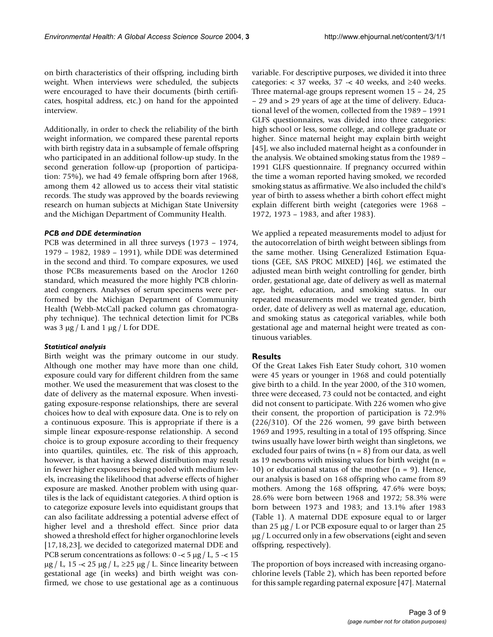on birth characteristics of their offspring, including birth weight. When interviews were scheduled, the subjects were encouraged to have their documents (birth certificates, hospital address, etc.) on hand for the appointed interview.

Additionally, in order to check the reliability of the birth weight information, we compared these parental reports with birth registry data in a subsample of female offspring who participated in an additional follow-up study. In the second generation follow-up (proportion of participation: 75%), we had 49 female offspring born after 1968, among them 42 allowed us to access their vital statistic records. The study was approved by the boards reviewing research on human subjects at Michigan State University and the Michigan Department of Community Health.

#### *PCB and DDE determination*

PCB was determined in all three surveys (1973 – 1974, 1979 – 1982, 1989 – 1991), while DDE was determined in the second and third. To compare exposures, we used those PCBs measurements based on the Aroclor 1260 standard, which measured the more highly PCB chlorinated congeners. Analyses of serum specimens were performed by the Michigan Department of Community Health (Webb-McCall packed column gas chromatography technique). The technical detection limit for PCBs was  $3 \mu g / L$  and  $1 \mu g / L$  for DDE.

#### *Statistical analysis*

Birth weight was the primary outcome in our study. Although one mother may have more than one child, exposure could vary for different children from the same mother. We used the measurement that was closest to the date of delivery as the maternal exposure. When investigating exposure-response relationships, there are several choices how to deal with exposure data. One is to rely on a continuous exposure. This is appropriate if there is a simple linear exposure-response relationship. A second choice is to group exposure according to their frequency into quartiles, quintiles, etc. The risk of this approach, however, is that having a skewed distribution may result in fewer higher exposures being pooled with medium levels, increasing the likelihood that adverse effects of higher exposure are masked. Another problem with using quartiles is the lack of equidistant categories. A third option is to categorize exposure levels into equidistant groups that can also facilitate addressing a potential adverse effect of higher level and a threshold effect. Since prior data showed a threshold effect for higher organochlorine levels [17,18,23], we decided to categorized maternal DDE and PCB serum concentrations as follows:  $0 \lt 5 \mu g/L$ ,  $5 \lt 15$  $\mu$ g / L, 15 -< 25  $\mu$ g / L,  $\geq$ 25  $\mu$ g / L. Since linearity between gestational age (in weeks) and birth weight was confirmed, we chose to use gestational age as a continuous variable. For descriptive purposes, we divided it into three categories: < 37 weeks, 37 -< 40 weeks, and  $\geq 40$  weeks. Three maternal-age groups represent women 15 – 24, 25 – 29 and > 29 years of age at the time of delivery. Educational level of the women, collected from the 1989 – 1991 GLFS questionnaires, was divided into three categories: high school or less, some college, and college graduate or higher. Since maternal height may explain birth weight [45], we also included maternal height as a confounder in the analysis. We obtained smoking status from the 1989 – 1991 GLFS questionnaire. If pregnancy occurred within the time a woman reported having smoked, we recorded smoking status as affirmative. We also included the child's year of birth to assess whether a birth cohort effect might explain different birth weight (categories were 1968 – 1972, 1973 – 1983, and after 1983).

We applied a repeated measurements model to adjust for the autocorrelation of birth weight between siblings from the same mother. Using Generalized Estimation Equations (GEE, SAS PROC MIXED) [46], we estimated the adjusted mean birth weight controlling for gender, birth order, gestational age, date of delivery as well as maternal age, height, education, and smoking status. In our repeated measurements model we treated gender, birth order, date of delivery as well as maternal age, education, and smoking status as categorical variables, while both gestational age and maternal height were treated as continuous variables.

## **Results**

Of the Great Lakes Fish Eater Study cohort, 310 women were 45 years or younger in 1968 and could potentially give birth to a child. In the year 2000, of the 310 women, three were deceased, 73 could not be contacted, and eight did not consent to participate. With 226 women who give their consent, the proportion of participation is 72.9% (226/310). Of the 226 women, 99 gave birth between 1969 and 1995, resulting in a total of 195 offspring. Since twins usually have lower birth weight than singletons, we excluded four pairs of twins  $(n = 8)$  from our data, as well as 19 newborns with missing values for birth weight  $(n =$ 10) or educational status of the mother  $(n = 9)$ . Hence, our analysis is based on 168 offspring who came from 89 mothers. Among the 168 offspring, 47.6% were boys; 28.6% were born between 1968 and 1972; 58.3% were born between 1973 and 1983; and 13.1% after 1983 (Table [1](#page-3-0)). A maternal DDE exposure equal to or larger than 25  $\mu$ g / L or PCB exposure equal to or larger than 25 µg / L occurred only in a few observations (eight and seven offspring, respectively).

The proportion of boys increased with increasing organochlorine levels (Table [2\)](#page-3-1), which has been reported before for this sample regarding paternal exposure [47]. Maternal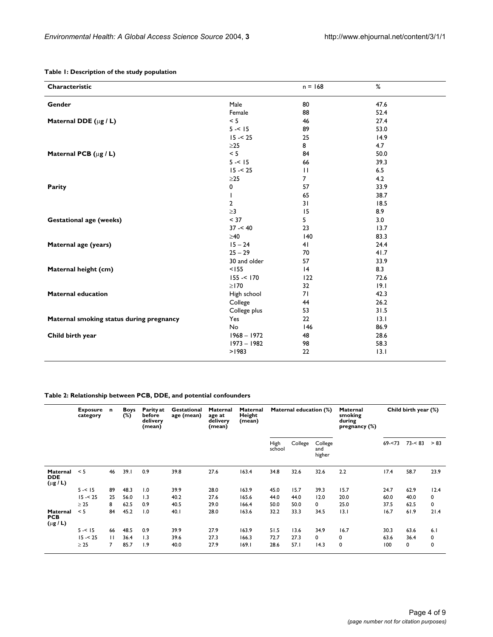| Characteristic                           |                | $n = 168$      | %    |
|------------------------------------------|----------------|----------------|------|
| Gender                                   | Male           | 80             | 47.6 |
|                                          | Female         | 88             | 52.4 |
| Maternal DDE (µg / L)                    | < 5            | 46             | 27.4 |
|                                          | $5 - 15$       | 89             | 53.0 |
|                                          | $15 - 25$      | 25             | 14.9 |
|                                          | $\geq$ 25      | 8              | 4.7  |
| Maternal PCB ( $\mu$ g / L)              | < 5            | 84             | 50.0 |
|                                          | $5 - 15$       | 66             | 39.3 |
|                                          | $15 - 25$      | Ħ              | 6.5  |
|                                          | $\geq$ 25      | $\overline{7}$ | 4.2  |
| Parity                                   | 0              | 57             | 33.9 |
|                                          | $\mathbf{I}$   | 65             | 38.7 |
|                                          | $\overline{2}$ | 31             | 18.5 |
|                                          | $\geq$ 3       | 15             | 8.9  |
| <b>Gestational age (weeks)</b>           | < 37           | 5              | 3.0  |
|                                          | $37 - 40$      | 23             | 13.7 |
|                                          | $\geq$ 40      | 140            | 83.3 |
| Maternal age (years)                     | $15 - 24$      | 41             | 24.4 |
|                                          | $25 - 29$      | 70             | 41.7 |
|                                          | 30 and older   | 57             | 33.9 |
| Maternal height (cm)                     | < 155          | 4              | 8.3  |
|                                          | $155 - 170$    | 122            | 72.6 |
|                                          | $\geq$ 170     | 32             | 9.1  |
| <b>Maternal education</b>                | High school    | 71             | 42.3 |
|                                          | College        | 44             | 26.2 |
|                                          | College plus   | 53             | 31.5 |
| Maternal smoking status during pregnancy | Yes            | 22             | 13.1 |
|                                          | No             | 146            | 86.9 |
| Child birth year                         | $1968 - 1972$  | 48             | 28.6 |
|                                          | $1973 - 1982$  | 98             | 58.3 |
|                                          | >1983          | 22             | 13.1 |
|                                          |                |                |      |

#### <span id="page-3-0"></span>**Table 1: Description of the study population**

#### <span id="page-3-1"></span>**Table 2: Relationship between PCB, DDE, and potential confounders**

|                                              | <b>Exposure</b><br>category | n            | <b>Boys</b><br>$(\%)$ | Parity at<br>before<br>delivery<br>(mean) | Gestational<br>age (mean) | Maternal<br>age at<br>delivery<br>(mean) | <b>Maternal</b><br>Height<br>(mean) | Maternal education (%) |         | <b>Maternal</b><br>smoking<br>during<br>pregnancy (%) | Child birth year (%) |           |         |      |
|----------------------------------------------|-----------------------------|--------------|-----------------------|-------------------------------------------|---------------------------|------------------------------------------|-------------------------------------|------------------------|---------|-------------------------------------------------------|----------------------|-----------|---------|------|
|                                              |                             |              |                       |                                           |                           |                                          |                                     | High<br>school         | College | College<br>and<br>higher                              |                      | $69 - 73$ | 73-< 83 | > 83 |
| Maternal<br><b>DDE</b><br>$(\mu g/L)$        | < 5                         | 46           | 39.1                  | 0.9                                       | 39.8                      | 27.6                                     | 163.4                               | 34.8                   | 32.6    | 32.6                                                  | 2.2                  | 17.4      | 58.7    | 23.9 |
|                                              | $5 - < 15$                  | 89           | 48.3                  | 1.0                                       | 39.9                      | 28.0                                     | 163.9                               | 45.0                   | 15.7    | 39.3                                                  | 15.7                 | 24.7      | 62.9    | 12.4 |
|                                              | $15 - 25$                   | 25           | 56.0                  | 1.3                                       | 40.2                      | 27.6                                     | 165.6                               | 44.0                   | 44.0    | 12.0                                                  | 20.0                 | 60.0      | 40.0    | 0    |
|                                              | $\geq 25$                   | 8            | 62.5                  | 0.9                                       | 40.5                      | 29.0                                     | 166.4                               | 50.0                   | 50.0    | 0                                                     | 25.0                 | 37.5      | 62.5    | 0    |
| <b>Maternal</b><br><b>PCB</b><br>$(\mu g/L)$ | < 5                         | 84           | 45.2                  | 1.0                                       | 40.1                      | 28.0                                     | 163.6                               | 32.2                   | 33.3    | 34.5                                                  | 13.1                 | 16.7      | 61.9    | 21.4 |
|                                              | $5 - 15$                    | 66           | 48.5                  | 0.9                                       | 39.9                      | 27.9                                     | 163.9                               | 51.5                   | 13.6    | 34.9                                                  | 16.7                 | 30.3      | 63.6    | 6.1  |
|                                              | $15 - 25$                   | $\mathbf{H}$ | 36.4                  | 1.3                                       | 39.6                      | 27.3                                     | 166.3                               | 72.7                   | 27.3    | 0                                                     | 0                    | 63.6      | 36.4    | 0    |
|                                              | $\geq 25$                   | 7            | 85.7                  | 1.9                                       | 40.0                      | 27.9                                     | 169.1                               | 28.6                   | 57.1    | 14.3                                                  | 0                    | 100       | 0       | 0    |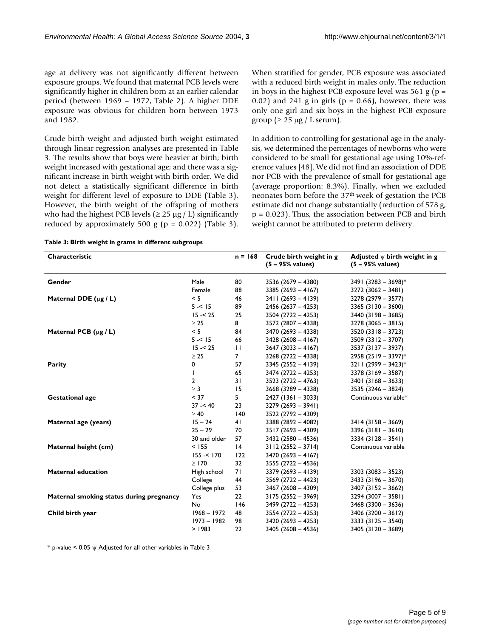age at delivery was not significantly different between exposure groups. We found that maternal PCB levels were significantly higher in children born at an earlier calendar period (between 1969 – 1972, Table [2](#page-3-1)). A higher DDE exposure was obvious for children born between 1973 and 1982.

Crude birth weight and adjusted birth weight estimated through linear regression analyses are presented in Table [3.](#page-4-0) The results show that boys were heavier at birth; birth weight increased with gestational age; and there was a significant increase in birth weight with birth order. We did not detect a statistically significant difference in birth weight for different level of exposure to DDE (Table [3\)](#page-4-0). However, the birth weight of the offspring of mothers who had the highest PCB levels ( $\geq$  25 µg / L) significantly reduced by approximately 500 g ( $p = 0.022$ ) (Table [3\)](#page-4-0). When stratified for gender, PCB exposure was associated with a reduced birth weight in males only. The reduction in boys in the highest PCB exposure level was  $561$  g (p = 0.02) and 241 g in girls ( $p = 0.66$ ), however, there was only one girl and six boys in the highest PCB exposure group ( $\geq$  25 µg / L serum).

In addition to controlling for gestational age in the analysis, we determined the percentages of newborns who were considered to be small for gestational age using 10%-reference values [48]. We did not find an association of DDE nor PCB with the prevalence of small for gestational age (average proportion: 8.3%). Finally, when we excluded neonates born before the 37th week of gestation the PCB estimate did not change substantially (reduction of 578 g, p = 0.023). Thus, the association between PCB and birth weight cannot be attributed to preterm delivery.

<span id="page-4-0"></span>**Table 3: Birth weight in grams in different subgroups**

| Characteristic                           |                | $n = 168$      | Crude birth weight in g<br>$(5 - 95\%$ values) | Adjusted $\psi$ birth weight in g<br>$(5 - 95\%$ values) |
|------------------------------------------|----------------|----------------|------------------------------------------------|----------------------------------------------------------|
| Gender                                   | Male           | 80             | $3536 (2679 - 4380)$                           | 3491 (3283 - 3698)*                                      |
|                                          | Female         | 88             | $3385(2693 - 4167)$                            | $3272(3062 - 3481)$                                      |
| Maternal DDE ( $\mu$ g / L)              | < 5            | 46             | $3411 (2693 - 4139)$                           | $3278(2979 - 3577)$                                      |
|                                          | $5 - 15$       | 89             | $2456 (2637 - 4253)$                           | $3365(3130 - 3600)$                                      |
|                                          | $15 - 25$      | 25             | $3504 (2722 - 4253)$                           | $3440$ (3198 - 3685)                                     |
|                                          | $\geq 25$      | 8              | 3572 (2807 - 4338)                             | $3278(3065 - 3815)$                                      |
| Maternal PCB ( $\mu$ g / L)              | < 5            | 84             | $3470 (2693 - 4338)$                           | $3520(3318 - 3723)$                                      |
|                                          | $5 - 15$       | 66             | $3428(2608 - 4167)$                            | $3509 (3312 - 3707)$                                     |
|                                          | $15 - 25$      | $\mathbf{H}$   | $3647 (3033 - 4167)$                           | $3537(3137 - 3937)$                                      |
|                                          | $\geq$ 25      | $\overline{7}$ | $3268 (2722 - 4338)$                           | $2958 (2519 - 3397)^*$                                   |
| <b>Parity</b>                            | 0              | 57             | $3345 (2552 - 4139)$                           | $3211 (2999 - 3423)^*$                                   |
|                                          |                | 65             | $3474(2722 - 4253)$                            | $3378(3169 - 3587)$                                      |
|                                          | $\overline{2}$ | 31             | $3523 (2722 - 4763)$                           | $3401 (3168 - 3633)$                                     |
|                                          | $\geq$ 3       | 15             | $3668$ (3289 - 4338)                           | $3535(3246 - 3824)$                                      |
| <b>Gestational age</b>                   | < 37           | 5              | $2427$ (1361 – 3033)                           | Continuous variable*                                     |
|                                          | $37 - 40$      | 23             | $3279(2693 - 3941)$                            |                                                          |
|                                          | $\geq 40$      | 40             | $3522(2792 - 4309)$                            |                                                          |
| Maternal age (years)                     | $15 - 24$      | 41             | $3388(2892 - 4082)$                            | $3414(3158 - 3669)$                                      |
|                                          | $25 - 29$      | 70             | $3517(2693 - 4309)$                            | $3396 (3181 - 3610)$                                     |
|                                          | 30 and older   | 57             | $3432(2580 - 4536)$                            | $3334(3128-3541)$                                        |
| Maternal height (cm)                     | < 155          | 14             | $3112(2552 - 3714)$                            | Continuous variable                                      |
|                                          | $155 - 170$    | 122            | $3470(2693 - 4167)$                            |                                                          |
|                                          | $\geq$ 170     | 32             | $3555(2722 - 4536)$                            |                                                          |
| <b>Maternal education</b>                | High school    | 71             | $3379 (2693 - 4139)$                           | $3303 (3083 - 3523)$                                     |
|                                          | College        | 44             | $3569 (2722 - 4423)$                           | $3433(3196 - 3670)$                                      |
|                                          | College plus   | 53             | $3467 (2608 - 4309)$                           | $3407$ (3152 - 3662)                                     |
| Maternal smoking status during pregnancy | Yes            | 22             | $3175(2552 - 3969)$                            | 3294 (3007 - 3581)                                       |
|                                          | No             | 146            | $3499 (2722 - 4253)$                           | $3468$ (3300 - 3636)                                     |
| Child birth year                         | $1968 - 1972$  | 48             | $3554 (2722 - 4253)$                           | $3406 (3200 - 3612)$                                     |
|                                          | $1973 - 1982$  | 98             | $3420 (2693 - 4253)$                           | $3333(3125 - 3540)$                                      |
|                                          | >1983          | 22             | $3405 (2608 - 4536)$                           | 3405 (3120 - 3689)                                       |
|                                          |                |                |                                                |                                                          |

 $*$  p-value < 0.05  $\psi$  Adjusted for all other variables in Table [3](#page-4-0)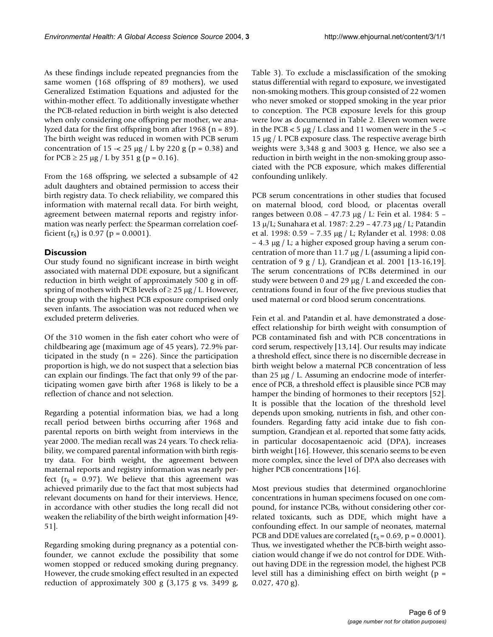As these findings include repeated pregnancies from the same women (168 offspring of 89 mothers), we used Generalized Estimation Equations and adjusted for the within-mother effect. To additionally investigate whether the PCB-related reduction in birth weight is also detected when only considering one offspring per mother, we analyzed data for the first offspring born after 1968 (n = 89). The birth weight was reduced in women with PCB serum concentration of 15  $\lt$  25  $\mu$ g / L by 220 g (p = 0.38) and for PCB  $\ge$  25  $\mu$ g / L by 351 g (p = 0.16).

From the 168 offspring, we selected a subsample of 42 adult daughters and obtained permission to access their birth registry data. To check reliability, we compared this information with maternal recall data. For birth weight, agreement between maternal reports and registry information was nearly perfect: the Spearman correlation coefficient  $(r_s)$  is 0.97 (p = 0.0001).

### **Discussion**

Our study found no significant increase in birth weight associated with maternal DDE exposure, but a significant reduction in birth weight of approximately 500 g in offspring of mothers with PCB levels of  $\geq$  25 µg / L. However, the group with the highest PCB exposure comprised only seven infants. The association was not reduced when we excluded preterm deliveries.

Of the 310 women in the fish eater cohort who were of childbearing age (maximum age of 45 years), 72.9% participated in the study ( $n = 226$ ). Since the participation proportion is high, we do not suspect that a selection bias can explain our findings. The fact that only 99 of the participating women gave birth after 1968 is likely to be a reflection of chance and not selection.

Regarding a potential information bias, we had a long recall period between births occurring after 1968 and parental reports on birth weight from interviews in the year 2000. The median recall was 24 years. To check reliability, we compared parental information with birth registry data. For birth weight, the agreement between maternal reports and registry information was nearly perfect ( $r_s$  = 0.97). We believe that this agreement was achieved primarily due to the fact that most subjects had relevant documents on hand for their interviews. Hence, in accordance with other studies the long recall did not weaken the reliability of the birth weight information [49- 51].

Regarding smoking during pregnancy as a potential confounder, we cannot exclude the possibility that some women stopped or reduced smoking during pregnancy. However, the crude smoking effect resulted in an expected reduction of approximately 300 g (3,175 g vs. 3499 g,

Table [3](#page-4-0)). To exclude a misclassification of the smoking status differential with regard to exposure, we investigated non-smoking mothers. This group consisted of 22 women who never smoked or stopped smoking in the year prior to conception. The PCB exposure levels for this group were low as documented in Table [2.](#page-3-1) Eleven women were in the PCB  $<$  5  $\mu$ g / L class and 11 women were in the 5  $\prec$ 15 µg / L PCB exposure class. The respective average birth weights were 3,348 g and 3003 g. Hence, we also see a reduction in birth weight in the non-smoking group associated with the PCB exposure, which makes differential confounding unlikely.

PCB serum concentrations in other studies that focused on maternal blood, cord blood, or placentas overall ranges between 0.08 – 47.73 µg / L: Fein et al. 1984: 5 – 13 µ/L; Sunahara et al. 1987: 2.29 – 47.73 µg / L; Patandin et al. 1998: 0.59 – 7.35 µg / L; Rylander et al. 1998: 0.08 – 4.3 µg / L; a higher exposed group having a serum concentration of more than 11.7  $\mu$ g / L (assuming a lipid concentration of 9 g  $/$  L), Grandjean et al. 2001 [13-16,19]. The serum concentrations of PCBs determined in our study were between 0 and 29 µg / L and exceeded the concentrations found in four of the five previous studies that used maternal or cord blood serum concentrations.

Fein et al. and Patandin et al. have demonstrated a doseeffect relationship for birth weight with consumption of PCB contaminated fish and with PCB concentrations in cord serum, respectively [13,14]. Our results may indicate a threshold effect, since there is no discernible decrease in birth weight below a maternal PCB concentration of less than 25  $\mu$ g / L. Assuming an endocrine mode of interference of PCB, a threshold effect is plausible since PCB may hamper the binding of hormones to their receptors [52]. It is possible that the location of the threshold level depends upon smoking, nutrients in fish, and other confounders. Regarding fatty acid intake due to fish consumption, Grandjean et al. reported that some fatty acids, in particular docosapentaenoic acid (DPA), increases birth weight [16]. However, this scenario seems to be even more complex, since the level of DPA also decreases with higher PCB concentrations [16].

Most previous studies that determined organochlorine concentrations in human specimens focused on one compound, for instance PCBs, without considering other correlated toxicants, such as DDE, which might have a confounding effect. In our sample of neonates, maternal PCB and DDE values are correlated ( $r_s$  = 0.69, p = 0.0001). Thus, we investigated whether the PCB-birth weight association would change if we do not control for DDE. Without having DDE in the regression model, the highest PCB level still has a diminishing effect on birth weight ( $p =$ 0.027, 470 g).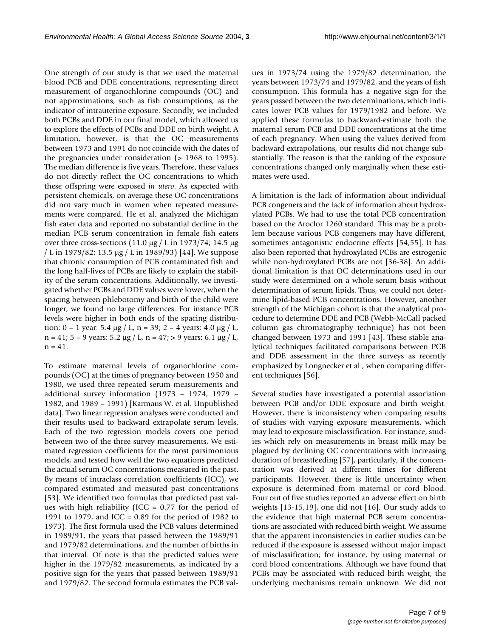One strength of our study is that we used the maternal blood PCB and DDE concentrations, representing direct measurement of organochlorine compounds (OC) and not approximations, such as fish consumptions, as the indicator of intrauterine exposure. Secondly, we included both PCBs and DDE in our final model, which allowed us to explore the effects of PCBs and DDE on birth weight. A limitation, however, is that the OC measurements between 1973 and 1991 do not coincide with the dates of the pregnancies under consideration (> 1968 to 1995). The median difference is five years. Therefore, these values do not directly reflect the OC concentrations to which these offspring were exposed *in utero*. As expected with persistent chemicals, on average these OC concentrations did not vary much in women when repeated measurements were compared. He et al. analyzed the Michigan fish eater data and reported no substantial decline in the median PCB serum concentration in female fish eaters over three cross-sections  $(11.0 \text{ µg} / L \text{ in } 1973/74$ ; 14.5  $\text{µg}$ / L in 1979/82; 13.5 µg / L in 1989/93) [44]. We suppose that chronic consumption of PCB contaminated fish and the long half-lives of PCBs are likely to explain the stability of the serum concentrations. Additionally, we investigated whether PCBs and DDE values were lower, when the spacing between phlebotomy and birth of the child were longer; we found no large differences. For instance PCB levels were higher in both ends of the spacing distribution:  $0 - 1$  year: 5.4  $\mu$ g / L, n = 39; 2 – 4 years: 4.0  $\mu$ g / L,  $n = 41$ ; 5 – 9 years: 5.2  $\mu$ g / L, n = 47; > 9 years: 6.1  $\mu$ g / L,  $n = 41.$ 

To estimate maternal levels of organochlorine compounds (OC) at the times of pregnancy between 1950 and 1980, we used three repeated serum measurements and additional survey information (1973 – 1974, 1979 – 1982, and 1989 – 1991) [Karmaus W. et al. Unpublished data]. Two linear regression analyses were conducted and their results used to backward extrapolate serum levels. Each of the two regression models covers one period between two of the three survey measurements. We estimated regression coefficients for the most parsimonious models, and tested how well the two equations predicted the actual serum OC concentrations measured in the past. By means of intraclass correlation coefficients (ICC), we compared estimated and measured past concentrations [53]. We identified two formulas that predicted past values with high reliability (ICC =  $0.77$  for the period of 1991 to 1979, and ICC = 0.89 for the period of 1982 to 1973). The first formula used the PCB values determined in 1989/91, the years that passed between the 1989/91 and 1979/82 determinations, and the number of births in that interval. Of note is that the predicted values were higher in the 1979/82 measurements, as indicated by a positive sign for the years that passed between 1989/91 and 1979/82. The second formula estimates the PCB values in 1973/74 using the 1979/82 determination, the years between 1973/74 and 1979/82, and the years of fish consumption. This formula has a negative sign for the years passed between the two determinations, which indicates lower PCB values for 1979/1982 and before. We applied these formulas to backward-estimate both the maternal serum PCB and DDE concentrations at the time of each pregnancy. When using the values derived from backward extrapolations, our results did not change substantially. The reason is that the ranking of the exposure concentrations changed only marginally when these estimates were used.

A limitation is the lack of information about individual PCB congeners and the lack of information about hydroxylated PCBs. We had to use the total PCB concentration based on the Aroclor 1260 standard. This may be a problem because various PCB congeners may have different, sometimes antagonistic endocrine effects [54,55]. It has also been reported that hydroxylated PCBs are estrogenic while non-hydroxylated PCBs are not [36-38]. An additional limitation is that OC determinations used in our study were determined on a whole serum basis without determination of serum lipids. Thus, we could not determine lipid-based PCB concentrations. However, another strength of the Michigan cohort is that the analytical procedure to determine DDE and PCB (Webb-McCall packed column gas chromatography technique) has not been changed between 1973 and 1991 [43]. These stable analytical techniques facilitated comparisons between PCB and DDE assessment in the three surveys as recently emphasized by Longnecker et al., when comparing different techniques [56].

Several studies have investigated a potential association between PCB and/or DDE exposure and birth weight. However, there is inconsistency when comparing results of studies with varying exposure measurements, which may lead to exposure misclassification. For instance, studies which rely on measurements in breast milk may be plagued by declining OC concentrations with increasing duration of breastfeeding [57], particularly, if the concentration was derived at different times for different participants. However, there is little uncertainty when exposure is determined from maternal or cord blood. Four out of five studies reported an adverse effect on birth weights [13-15,19], one did not [16]. Our study adds to the evidence that high maternal PCB serum concentrations are associated with reduced birth weight. We assume that the apparent inconsistencies in earlier studies can be reduced if the exposure is assessed without major impact of misclassification; for instance, by using maternal or cord blood concentrations. Although we have found that PCBs may be associated with reduced birth weight, the underlying mechanisms remain unknown. We did not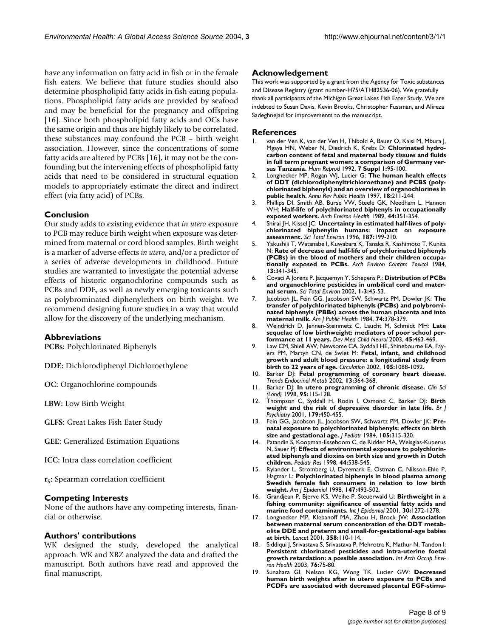have any information on fatty acid in fish or in the female fish eaters. We believe that future studies should also determine phospholipid fatty acids in fish eating populations. Phospholipid fatty acids are provided by seafood and may be beneficial for the pregnancy and offspring [16]. Since both phospholipid fatty acids and OCs have the same origin and thus are highly likely to be correlated, these substances may confound the PCB – birth weight association. However, since the concentrations of some fatty acids are altered by PCBs [16], it may not be the confounding but the intervening effects of phospholipid fatty acids that need to be considered in structural equation models to appropriately estimate the direct and indirect effect (via fatty acid) of PCBs.

## **Conclusion**

Our study adds to existing evidence that *in utero* exposure to PCB may reduce birth weight when exposure was determined from maternal or cord blood samples. Birth weight is a marker of adverse effects *in utero*, and/or a predictor of a series of adverse developments in childhood. Future studies are warranted to investigate the potential adverse effects of historic organochlorine compounds such as PCBs and DDE, as well as newly emerging toxicants such as polybrominated diphenylethers on birth weight. We recommend designing future studies in a way that would allow for the discovery of the underlying mechanism.

#### **Abbreviations**

**PCBs:** Polychlorinated Biphenyls

**DDE:** Dichlorodiphenyl Dichloroethylene

**OC:** Organochlorine compounds

**LBW:** Low Birth Weight

**GLFS:** Great Lakes Fish Eater Study

**GEE:** Generalized Estimation Equations

**ICC:** Intra class correlation coefficient

r<sub>s</sub>: Spearman correlation coefficient

#### **Competing Interests**

None of the authors have any competing interests, financial or otherwise.

#### **Authors' contributions**

WK designed the study, developed the analytical approach. WK and XBZ analyzed the data and drafted the manuscript. Both authors have read and approved the final manuscript.

#### **Acknowledgement**

This work was supported by a grant from the Agency for Toxic substances and Disease Registry (grant number-H75/ATH82536-06). We gratefully thank all participants of the Michigan Great Lakes Fish Eater Study. We are indebted to Susan Davis, Kevin Brooks, Christopher Fussman, and Alireza Sadeghnejad for improvements to the manuscript.

#### **References**

- 1. van der Ven K, van der Ven H, Thibold A, Bauer O, Kaisi M, Mbura J, Mgaya HN, Weber N, Diedrich K, Krebs D: **[Chlorinated hydro](http://www.ncbi.nlm.nih.gov/entrez/query.fcgi?cmd=Retrieve&db=PubMed&dopt=Abstract&list_uids=1447375)[carbon content of fetal and maternal body tissues and fluids](http://www.ncbi.nlm.nih.gov/entrez/query.fcgi?cmd=Retrieve&db=PubMed&dopt=Abstract&list_uids=1447375) in full term pregnant women: a comparison of Germany ver[sus Tanzania.](http://www.ncbi.nlm.nih.gov/entrez/query.fcgi?cmd=Retrieve&db=PubMed&dopt=Abstract&list_uids=1447375)** *Hum Reprod* 1992, **7 Suppl 1:**95-100.
- 2. Longnecker MP, Rogan WJ, Lucier G: **[The human health effects](http://www.ncbi.nlm.nih.gov/entrez/query.fcgi?cmd=Retrieve&db=PubMed&dopt=Abstract&list_uids=10.1146/annurev.publhealth.18.1.211) of DDT (dichlorodiphenyltrichloroethane) and PCBS (poly[chlorinated biphenyls\) and an overview of organochlorines in](http://www.ncbi.nlm.nih.gov/entrez/query.fcgi?cmd=Retrieve&db=PubMed&dopt=Abstract&list_uids=10.1146/annurev.publhealth.18.1.211) [public health](http://www.ncbi.nlm.nih.gov/entrez/query.fcgi?cmd=Retrieve&db=PubMed&dopt=Abstract&list_uids=10.1146/annurev.publhealth.18.1.211)[.](http://www.ncbi.nlm.nih.gov/entrez/query.fcgi?cmd=Retrieve&db=PubMed&dopt=Abstract&list_uids=9143718)** *Annu Rev Public Health* 1997, **18:**211-244.
- 3. Phillips Dl, Smith AB, Burse VW, Steele GK, Needham L, Hannon WH: **[Half-life of polychlorinated biphenyls in occupationally](http://www.ncbi.nlm.nih.gov/entrez/query.fcgi?cmd=Retrieve&db=PubMed&dopt=Abstract&list_uids=2514628) [exposed workers.](http://www.ncbi.nlm.nih.gov/entrez/query.fcgi?cmd=Retrieve&db=PubMed&dopt=Abstract&list_uids=2514628)** *Arch Environ Health* 1989, **44:**351-354.
- 4. Shirai |H, Kissel |C: [Uncertainty in estimated half-lives of poly](http://www.ncbi.nlm.nih.gov/entrez/query.fcgi?cmd=Retrieve&db=PubMed&dopt=Abstract&list_uids=10.1016/0048-9697(96)05142-X)**[chlorinated biphenylin humans: impact on exposure](http://www.ncbi.nlm.nih.gov/entrez/query.fcgi?cmd=Retrieve&db=PubMed&dopt=Abstract&list_uids=10.1016/0048-9697(96)05142-X) [assessment](http://www.ncbi.nlm.nih.gov/entrez/query.fcgi?cmd=Retrieve&db=PubMed&dopt=Abstract&list_uids=10.1016/0048-9697(96)05142-X)[.](http://www.ncbi.nlm.nih.gov/entrez/query.fcgi?cmd=Retrieve&db=PubMed&dopt=Abstract&list_uids=8711465)** *Sci Total Environ* 1996, **187:**199-210.
- 5. Yakushiji T, Watanabe I, Kuwabara K, Tanaka R, Kashimoto T, Kunita N: **[Rate of decrease and half-life of polychlorinated biphenyls](http://www.ncbi.nlm.nih.gov/entrez/query.fcgi?cmd=Retrieve&db=PubMed&dopt=Abstract&list_uids=6430248) [\(PCBs\) in the blood of mothers and their children occupa](http://www.ncbi.nlm.nih.gov/entrez/query.fcgi?cmd=Retrieve&db=PubMed&dopt=Abstract&list_uids=6430248)[tionally exposed to PCBs.](http://www.ncbi.nlm.nih.gov/entrez/query.fcgi?cmd=Retrieve&db=PubMed&dopt=Abstract&list_uids=6430248)** *Arch Environ Contam Toxicol* 1984, **13:**341-345.
- 6. Covaci A Jorens P, Jacquemyn Y, Schepens P.: **[Distribution of PCBs](http://www.ncbi.nlm.nih.gov/entrez/query.fcgi?cmd=Retrieve&db=PubMed&dopt=Abstract&list_uids=10.1016/S0048-9697(02)00167-5) [and organochlorine pesticides in umbilical cord and mater](http://www.ncbi.nlm.nih.gov/entrez/query.fcgi?cmd=Retrieve&db=PubMed&dopt=Abstract&list_uids=10.1016/S0048-9697(02)00167-5)[nal serum.](http://www.ncbi.nlm.nih.gov/entrez/query.fcgi?cmd=Retrieve&db=PubMed&dopt=Abstract&list_uids=10.1016/S0048-9697(02)00167-5)** *Sci Total Environ* 2002, **1-3:**45-53.
- 7. Jacobson JL, Fein GG, Jacobson SW, Schwartz PM, Dowler JK: **[The](http://www.ncbi.nlm.nih.gov/entrez/query.fcgi?cmd=Retrieve&db=PubMed&dopt=Abstract&list_uids=6322600) [transfer of polychlorinated biphenyls \(PCBs\) and polybromi](http://www.ncbi.nlm.nih.gov/entrez/query.fcgi?cmd=Retrieve&db=PubMed&dopt=Abstract&list_uids=6322600)nated biphenyls (PBBs) across the human placenta and into [maternal milk.](http://www.ncbi.nlm.nih.gov/entrez/query.fcgi?cmd=Retrieve&db=PubMed&dopt=Abstract&list_uids=6322600)** *Am J Public Health* 1984, **74:**378-379.
- 8. Weindrich D, Jennen-Steinmetz C, Laucht M, Schmidt MH: **[Late](http://www.ncbi.nlm.nih.gov/entrez/query.fcgi?cmd=Retrieve&db=PubMed&dopt=Abstract&list_uids=10.1017/S0012162203000860) [sequelae of low birthweight: mediators of poor school per](http://www.ncbi.nlm.nih.gov/entrez/query.fcgi?cmd=Retrieve&db=PubMed&dopt=Abstract&list_uids=10.1017/S0012162203000860)[formance at 11 years](http://www.ncbi.nlm.nih.gov/entrez/query.fcgi?cmd=Retrieve&db=PubMed&dopt=Abstract&list_uids=10.1017/S0012162203000860)[.](http://www.ncbi.nlm.nih.gov/entrez/query.fcgi?cmd=Retrieve&db=PubMed&dopt=Abstract&list_uids=12828400)** *Dev Med Child Neurol* 2003, **45:**463-469.
- 9. Law CM, Shiell AW, Newsome CA, Syddall HE, Shinebourne EA, Fayers PM, Martyn CN, de Swiet M: **[Fetal, infant, and childhood](http://www.ncbi.nlm.nih.gov/entrez/query.fcgi?cmd=Retrieve&db=PubMed&dopt=Abstract&list_uids=10.1161/hc0902.104677) [growth and adult blood pressure: a longitudinal study from](http://www.ncbi.nlm.nih.gov/entrez/query.fcgi?cmd=Retrieve&db=PubMed&dopt=Abstract&list_uids=10.1161/hc0902.104677) [birth to 22 years of age](http://www.ncbi.nlm.nih.gov/entrez/query.fcgi?cmd=Retrieve&db=PubMed&dopt=Abstract&list_uids=10.1161/hc0902.104677)[.](http://www.ncbi.nlm.nih.gov/entrez/query.fcgi?cmd=Retrieve&db=PubMed&dopt=Abstract&list_uids=11877360)** *Circulation* 2002, **105:**1088-1092.
- 10. Barker DJ: **[Fetal programming of coronary heart disease](http://www.ncbi.nlm.nih.gov/entrez/query.fcgi?cmd=Retrieve&db=PubMed&dopt=Abstract&list_uids=10.1016/S1043-2760(02)00689-6)[.](http://www.ncbi.nlm.nih.gov/entrez/query.fcgi?cmd=Retrieve&db=PubMed&dopt=Abstract&list_uids=12367816)** *Trends Endocrinol Metab* 2002, **13:**364-368.
- 11. Barker DJ: **[In utero programming of chronic disease](http://www.ncbi.nlm.nih.gov/entrez/query.fcgi?cmd=Retrieve&db=PubMed&dopt=Abstract&list_uids=10.1042/CS19980019)[.](http://www.ncbi.nlm.nih.gov/entrez/query.fcgi?cmd=Retrieve&db=PubMed&dopt=Abstract&list_uids=9680492)** *Clin Sci (Lond)* 1998, **95:**115-128.
- 12. Thompson C, Syddall H, Rodin I, Osmond C, Barker DJ: **[Birth](http://www.ncbi.nlm.nih.gov/entrez/query.fcgi?cmd=Retrieve&db=PubMed&dopt=Abstract&list_uids=10.1192/bjp.179.5.450) [weight and the risk of depressive disorder in late life](http://www.ncbi.nlm.nih.gov/entrez/query.fcgi?cmd=Retrieve&db=PubMed&dopt=Abstract&list_uids=10.1192/bjp.179.5.450)[.](http://www.ncbi.nlm.nih.gov/entrez/query.fcgi?cmd=Retrieve&db=PubMed&dopt=Abstract&list_uids=11689404)** *Br J Psychiatry* 2001, **179:**450-455.
- 13. Fein GG, Jacobson JL, Jacobson SW, Schwartz PM, Dowler JK: **[Pre](http://www.ncbi.nlm.nih.gov/entrez/query.fcgi?cmd=Retrieve&db=PubMed&dopt=Abstract&list_uids=6431068)[natal exposure to polychlorinated biphenyls: effects on birth](http://www.ncbi.nlm.nih.gov/entrez/query.fcgi?cmd=Retrieve&db=PubMed&dopt=Abstract&list_uids=6431068) [size and gestational age.](http://www.ncbi.nlm.nih.gov/entrez/query.fcgi?cmd=Retrieve&db=PubMed&dopt=Abstract&list_uids=6431068)** *J Pediatr* 1984, **105:**315-320.
- 14. Patandin S, Koopman-Esseboom C, de Ridder MA, Weisglas-Kuperus N, Sauer PJ: **[Effects of environmental exposure to polychlorin](http://www.ncbi.nlm.nih.gov/entrez/query.fcgi?cmd=Retrieve&db=PubMed&dopt=Abstract&list_uids=9773843)[ated biphenyls and dioxins on birth size and growth in Dutch](http://www.ncbi.nlm.nih.gov/entrez/query.fcgi?cmd=Retrieve&db=PubMed&dopt=Abstract&list_uids=9773843) [children.](http://www.ncbi.nlm.nih.gov/entrez/query.fcgi?cmd=Retrieve&db=PubMed&dopt=Abstract&list_uids=9773843)** *Pediatr Res* 1998, **44:**538-545.
- 15. Rylander L, Stromberg U, Dyremark E, Ostman C, Nilsson-Ehle P, Hagmar L: **[Polychlorinated biphenyls in blood plasma among](http://www.ncbi.nlm.nih.gov/entrez/query.fcgi?cmd=Retrieve&db=PubMed&dopt=Abstract&list_uids=9525537) [Swedish female fish consumers in relation to low birth](http://www.ncbi.nlm.nih.gov/entrez/query.fcgi?cmd=Retrieve&db=PubMed&dopt=Abstract&list_uids=9525537) [weight.](http://www.ncbi.nlm.nih.gov/entrez/query.fcgi?cmd=Retrieve&db=PubMed&dopt=Abstract&list_uids=9525537)** *Am J Epidemiol* 1998, **147:**493-502.
- 16. Grandjean P, Bjerve KS, Weihe P, Steuerwald U: **[Birthweight in a](http://www.ncbi.nlm.nih.gov/entrez/query.fcgi?cmd=Retrieve&db=PubMed&dopt=Abstract&list_uids=10.1093/ije/30.6.1272) [fishing community: significance of essential fatty acids and](http://www.ncbi.nlm.nih.gov/entrez/query.fcgi?cmd=Retrieve&db=PubMed&dopt=Abstract&list_uids=10.1093/ije/30.6.1272) [marine food contaminants](http://www.ncbi.nlm.nih.gov/entrez/query.fcgi?cmd=Retrieve&db=PubMed&dopt=Abstract&list_uids=10.1093/ije/30.6.1272)[.](http://www.ncbi.nlm.nih.gov/entrez/query.fcgi?cmd=Retrieve&db=PubMed&dopt=Abstract&list_uids=11821327)** *Int J Epidemiol* 2001, **30:**1272-1278.
- 17. Longnecker MP, Klebanoff MA, Zhou H, Brock JW: **[Association](http://www.ncbi.nlm.nih.gov/entrez/query.fcgi?cmd=Retrieve&db=PubMed&dopt=Abstract&list_uids=10.1016/S0140-6736(01)05329-6) between maternal serum concentration of the DDT metab[olite DDE and preterm and small-for-gestational-age babies](http://www.ncbi.nlm.nih.gov/entrez/query.fcgi?cmd=Retrieve&db=PubMed&dopt=Abstract&list_uids=10.1016/S0140-6736(01)05329-6) [at birth](http://www.ncbi.nlm.nih.gov/entrez/query.fcgi?cmd=Retrieve&db=PubMed&dopt=Abstract&list_uids=10.1016/S0140-6736(01)05329-6)[.](http://www.ncbi.nlm.nih.gov/entrez/query.fcgi?cmd=Retrieve&db=PubMed&dopt=Abstract&list_uids=11463412)** *Lancet* 2001, **358:**110-114.
- 18. Siddiqui J, Srivastava S, Srivastava P, Mehrotra K, Mathur N, Tandon I: **[Persistent chlorinated pesticides and intra-uterine foetal](http://www.ncbi.nlm.nih.gov/entrez/query.fcgi?cmd=Retrieve&db=PubMed&dopt=Abstract&list_uids=12592586) [growth retardation: a possible association.](http://www.ncbi.nlm.nih.gov/entrez/query.fcgi?cmd=Retrieve&db=PubMed&dopt=Abstract&list_uids=12592586)** *Int Arch Occup Environ Health* 2003, **76:**75-80.
- 19. Sunahara GI, Nelson KG, Wong TK, Lucier GW: **[Decreased](http://www.ncbi.nlm.nih.gov/entrez/query.fcgi?cmd=Retrieve&db=PubMed&dopt=Abstract&list_uids=3119985) [human birth weights after in utero exposure to PCBs and](http://www.ncbi.nlm.nih.gov/entrez/query.fcgi?cmd=Retrieve&db=PubMed&dopt=Abstract&list_uids=3119985) [PCDFs are associated with decreased placental EGF-stimu](http://www.ncbi.nlm.nih.gov/entrez/query.fcgi?cmd=Retrieve&db=PubMed&dopt=Abstract&list_uids=3119985)-**